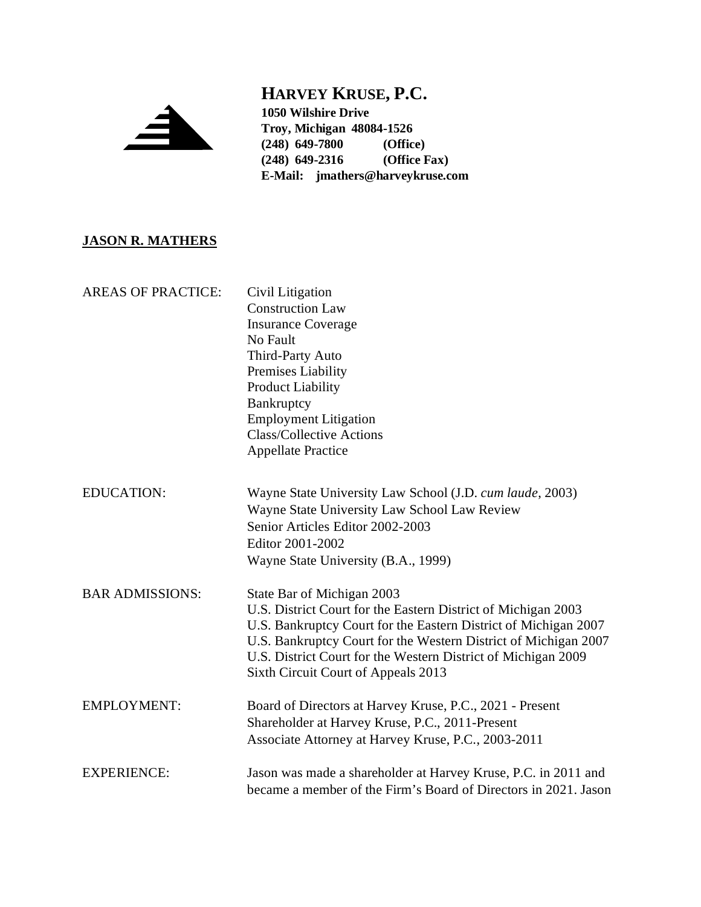

## **HARVEY KRUSE, P.C.**

**1050 Wilshire Drive Troy, Michigan 48084-1526 (248) 649-7800 (Office) (248) 649-2316 E-Mail: jmathers@harveykruse.com**

## **JASON R. MATHERS**

| <b>AREAS OF PRACTICE:</b> | Civil Litigation<br><b>Construction Law</b><br><b>Insurance Coverage</b><br>No Fault<br>Third-Party Auto<br>Premises Liability<br><b>Product Liability</b><br>Bankruptcy<br><b>Employment Litigation</b><br><b>Class/Collective Actions</b><br><b>Appellate Practice</b>                                                                  |
|---------------------------|-------------------------------------------------------------------------------------------------------------------------------------------------------------------------------------------------------------------------------------------------------------------------------------------------------------------------------------------|
| <b>EDUCATION:</b>         | Wayne State University Law School (J.D. cum laude, 2003)<br>Wayne State University Law School Law Review<br>Senior Articles Editor 2002-2003<br>Editor 2001-2002<br>Wayne State University (B.A., 1999)                                                                                                                                   |
| <b>BAR ADMISSIONS:</b>    | State Bar of Michigan 2003<br>U.S. District Court for the Eastern District of Michigan 2003<br>U.S. Bankruptcy Court for the Eastern District of Michigan 2007<br>U.S. Bankruptcy Court for the Western District of Michigan 2007<br>U.S. District Court for the Western District of Michigan 2009<br>Sixth Circuit Court of Appeals 2013 |
| <b>EMPLOYMENT:</b>        | Board of Directors at Harvey Kruse, P.C., 2021 - Present<br>Shareholder at Harvey Kruse, P.C., 2011-Present<br>Associate Attorney at Harvey Kruse, P.C., 2003-2011                                                                                                                                                                        |
| <b>EXPERIENCE:</b>        | Jason was made a shareholder at Harvey Kruse, P.C. in 2011 and<br>became a member of the Firm's Board of Directors in 2021. Jason                                                                                                                                                                                                         |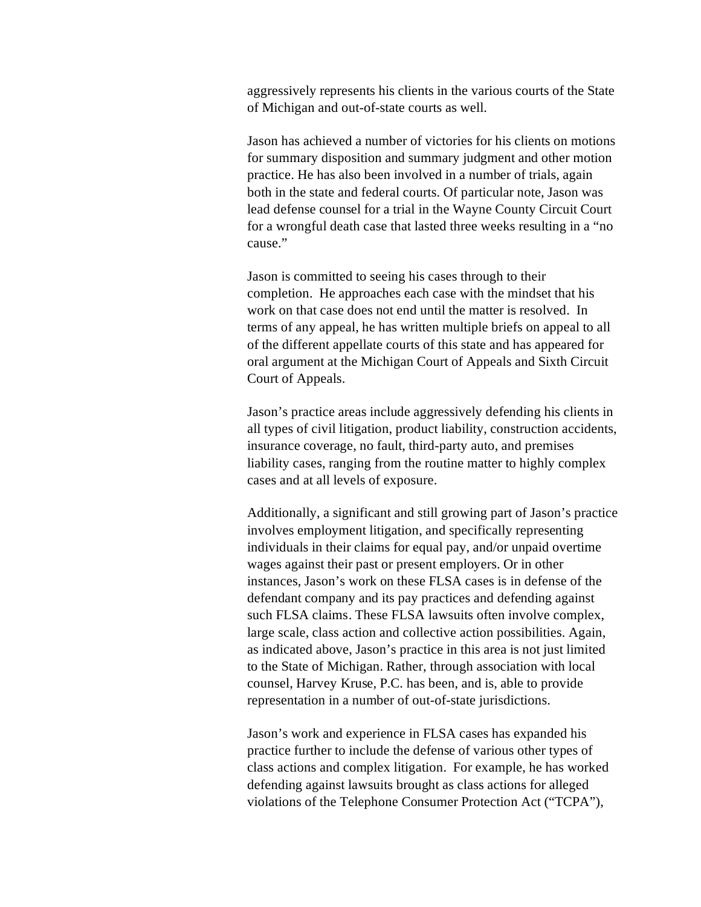aggressively represents his clients in the various courts of the State of Michigan and out-of-state courts as well.

Jason has achieved a number of victories for his clients on motions for summary disposition and summary judgment and other motion practice. He has also been involved in a number of trials, again both in the state and federal courts. Of particular note, Jason was lead defense counsel for a trial in the Wayne County Circuit Court for a wrongful death case that lasted three weeks resulting in a "no cause."

Jason is committed to seeing his cases through to their completion. He approaches each case with the mindset that his work on that case does not end until the matter is resolved. In terms of any appeal, he has written multiple briefs on appeal to all of the different appellate courts of this state and has appeared for oral argument at the Michigan Court of Appeals and Sixth Circuit Court of Appeals.

Jason's practice areas include aggressively defending his clients in all types of civil litigation, product liability, construction accidents, insurance coverage, no fault, third-party auto, and premises liability cases, ranging from the routine matter to highly complex cases and at all levels of exposure.

Additionally, a significant and still growing part of Jason's practice involves employment litigation, and specifically representing individuals in their claims for equal pay, and/or unpaid overtime wages against their past or present employers. Or in other instances, Jason's work on these FLSA cases is in defense of the defendant company and its pay practices and defending against such FLSA claims. These FLSA lawsuits often involve complex, large scale, class action and collective action possibilities. Again, as indicated above, Jason's practice in this area is not just limited to the State of Michigan. Rather, through association with local counsel, Harvey Kruse, P.C. has been, and is, able to provide representation in a number of out-of-state jurisdictions.

Jason's work and experience in FLSA cases has expanded his practice further to include the defense of various other types of class actions and complex litigation. For example, he has worked defending against lawsuits brought as class actions for alleged violations of the Telephone Consumer Protection Act ("TCPA"),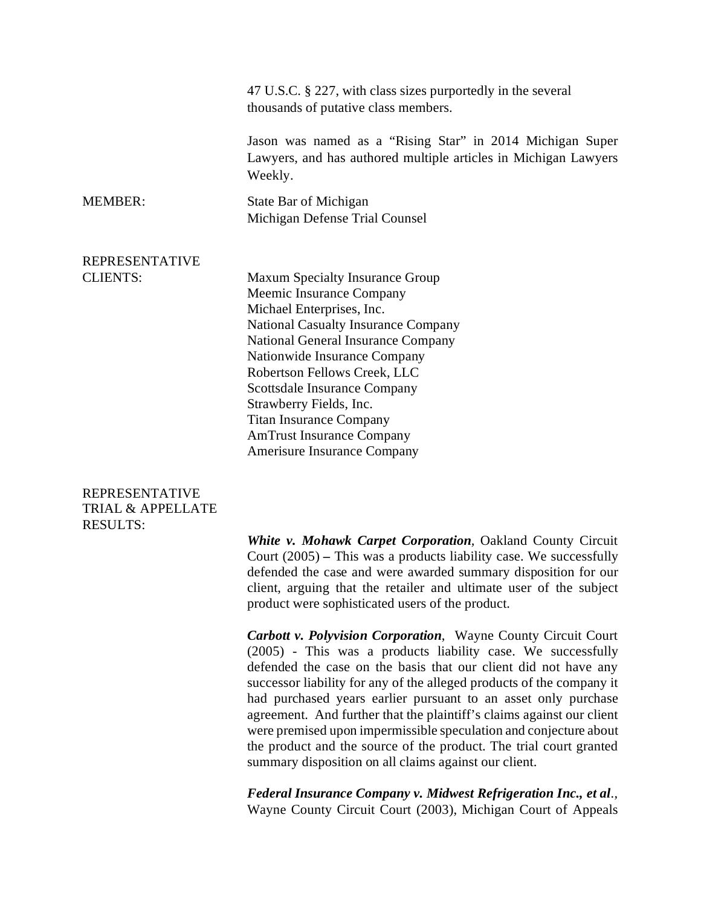|                       | 47 U.S.C. § 227, with class sizes purportedly in the several<br>thousands of putative class members.                                                                                                                                                                                                                                                                                                                       |
|-----------------------|----------------------------------------------------------------------------------------------------------------------------------------------------------------------------------------------------------------------------------------------------------------------------------------------------------------------------------------------------------------------------------------------------------------------------|
|                       | Jason was named as a "Rising Star" in 2014 Michigan Super<br>Lawyers, and has authored multiple articles in Michigan Lawyers<br>Weekly.                                                                                                                                                                                                                                                                                    |
| <b>MEMBER:</b>        | State Bar of Michigan<br>Michigan Defense Trial Counsel                                                                                                                                                                                                                                                                                                                                                                    |
| <b>REPRESENTATIVE</b> |                                                                                                                                                                                                                                                                                                                                                                                                                            |
| <b>CLIENTS:</b>       | <b>Maxum Specialty Insurance Group</b><br>Meemic Insurance Company<br>Michael Enterprises, Inc.<br><b>National Casualty Insurance Company</b><br>National General Insurance Company<br>Nationwide Insurance Company<br>Robertson Fellows Creek, LLC<br><b>Scottsdale Insurance Company</b><br>Strawberry Fields, Inc.<br><b>Titan Insurance Company</b><br><b>AmTrust Insurance Company</b><br>Amerisure Insurance Company |

## REPRESENTATIVE TRIAL & APPELLATE RESULTS:

*White v. Mohawk Carpet Corporation,* Oakland County Circuit Court (2005) *–* This was a products liability case. We successfully defended the case and were awarded summary disposition for our client, arguing that the retailer and ultimate user of the subject product were sophisticated users of the product.

*Carbott v. Polyvision Corporation*, Wayne County Circuit Court (2005) - This was a products liability case. We successfully defended the case on the basis that our client did not have any successor liability for any of the alleged products of the company it had purchased years earlier pursuant to an asset only purchase agreement. And further that the plaintiff's claims against our client were premised upon impermissible speculation and conjecture about the product and the source of the product. The trial court granted summary disposition on all claims against our client.

*Federal Insurance Company v. Midwest Refrigeration Inc., et al.,*  Wayne County Circuit Court (2003), Michigan Court of Appeals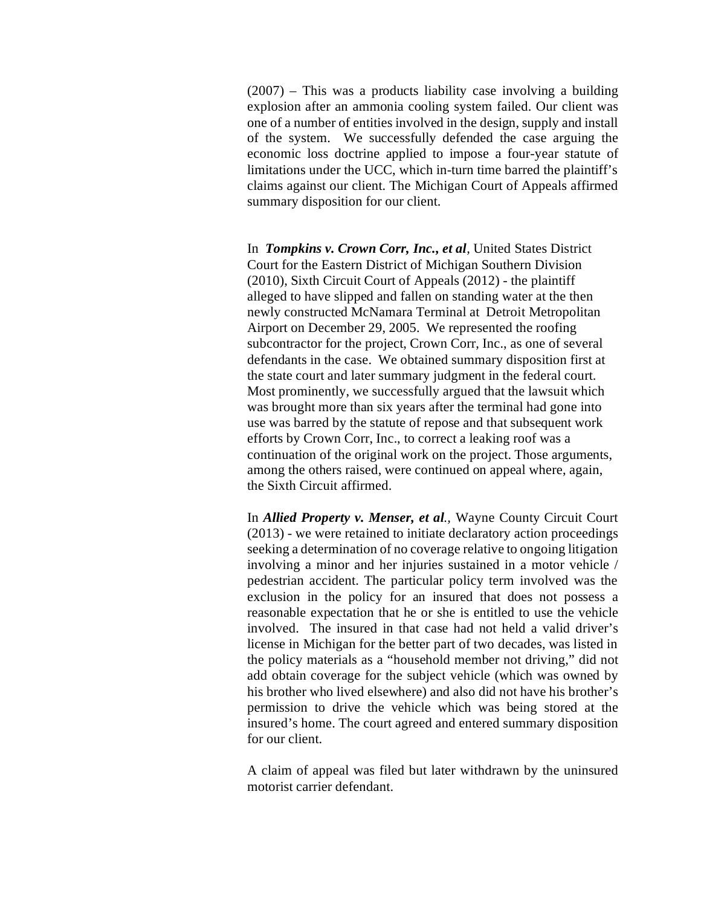(2007) – This was a products liability case involving a building explosion after an ammonia cooling system failed. Our client was one of a number of entities involved in the design, supply and install of the system. We successfully defended the case arguing the economic loss doctrine applied to impose a four-year statute of limitations under the UCC, which in-turn time barred the plaintiff's claims against our client. The Michigan Court of Appeals affirmed summary disposition for our client.

In *Tompkins v. Crown Corr, Inc., et al,* United States District Court for the Eastern District of Michigan Southern Division (2010), Sixth Circuit Court of Appeals (2012) - the plaintiff alleged to have slipped and fallen on standing water at the then newly constructed McNamara Terminal at Detroit Metropolitan Airport on December 29, 2005. We represented the roofing subcontractor for the project, Crown Corr, Inc., as one of several defendants in the case. We obtained summary disposition first at the state court and later summary judgment in the federal court. Most prominently, we successfully argued that the lawsuit which was brought more than six years after the terminal had gone into use was barred by the statute of repose and that subsequent work efforts by Crown Corr, Inc., to correct a leaking roof was a continuation of the original work on the project. Those arguments, among the others raised, were continued on appeal where, again, the Sixth Circuit affirmed.

In *Allied Property v. Menser, et al.,* Wayne County Circuit Court (2013) - we were retained to initiate declaratory action proceedings seeking a determination of no coverage relative to ongoing litigation involving a minor and her injuries sustained in a motor vehicle / pedestrian accident. The particular policy term involved was the exclusion in the policy for an insured that does not possess a reasonable expectation that he or she is entitled to use the vehicle involved. The insured in that case had not held a valid driver's license in Michigan for the better part of two decades, was listed in the policy materials as a "household member not driving," did not add obtain coverage for the subject vehicle (which was owned by his brother who lived elsewhere) and also did not have his brother's permission to drive the vehicle which was being stored at the insured's home. The court agreed and entered summary disposition for our client.

A claim of appeal was filed but later withdrawn by the uninsured motorist carrier defendant.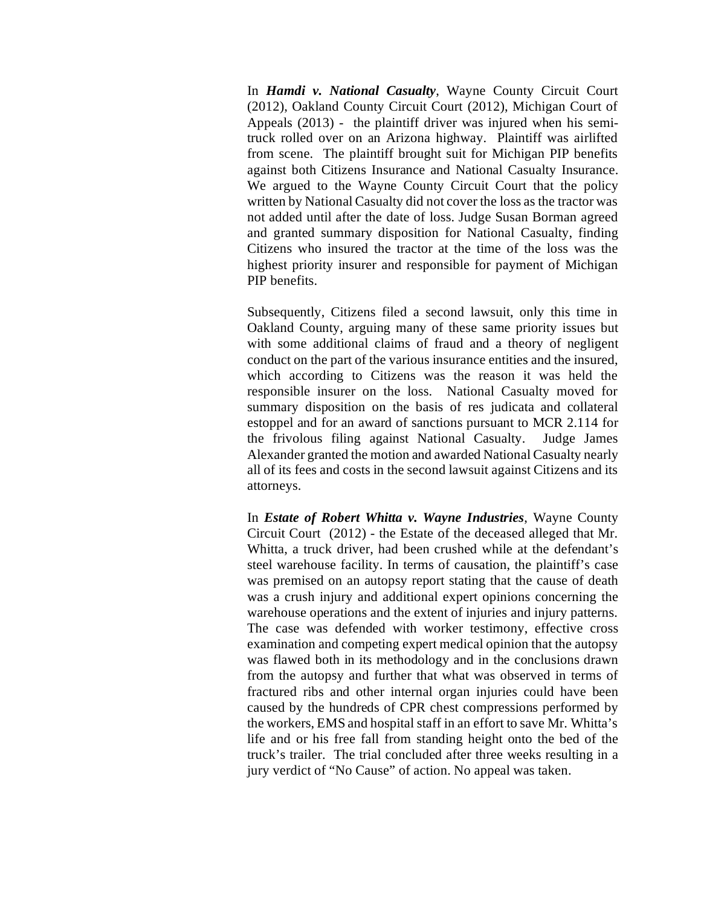In *Hamdi v. National Casualty*, Wayne County Circuit Court (2012), Oakland County Circuit Court (2012), Michigan Court of Appeals (2013) - the plaintiff driver was injured when his semitruck rolled over on an Arizona highway. Plaintiff was airlifted from scene. The plaintiff brought suit for Michigan PIP benefits against both Citizens Insurance and National Casualty Insurance. We argued to the Wayne County Circuit Court that the policy written by National Casualty did not cover the loss as the tractor was not added until after the date of loss. Judge Susan Borman agreed and granted summary disposition for National Casualty, finding Citizens who insured the tractor at the time of the loss was the highest priority insurer and responsible for payment of Michigan PIP benefits.

Subsequently, Citizens filed a second lawsuit, only this time in Oakland County, arguing many of these same priority issues but with some additional claims of fraud and a theory of negligent conduct on the part of the various insurance entities and the insured, which according to Citizens was the reason it was held the responsible insurer on the loss. National Casualty moved for summary disposition on the basis of res judicata and collateral estoppel and for an award of sanctions pursuant to MCR 2.114 for the frivolous filing against National Casualty. Judge James Alexander granted the motion and awarded National Casualty nearly all of its fees and costs in the second lawsuit against Citizens and its attorneys.

In *Estate of Robert Whitta v. Wayne Industries*, Wayne County Circuit Court (2012) - the Estate of the deceased alleged that Mr. Whitta, a truck driver, had been crushed while at the defendant's steel warehouse facility. In terms of causation, the plaintiff's case was premised on an autopsy report stating that the cause of death was a crush injury and additional expert opinions concerning the warehouse operations and the extent of injuries and injury patterns. The case was defended with worker testimony, effective cross examination and competing expert medical opinion that the autopsy was flawed both in its methodology and in the conclusions drawn from the autopsy and further that what was observed in terms of fractured ribs and other internal organ injuries could have been caused by the hundreds of CPR chest compressions performed by the workers, EMS and hospital staff in an effort to save Mr. Whitta's life and or his free fall from standing height onto the bed of the truck's trailer. The trial concluded after three weeks resulting in a jury verdict of "No Cause" of action. No appeal was taken.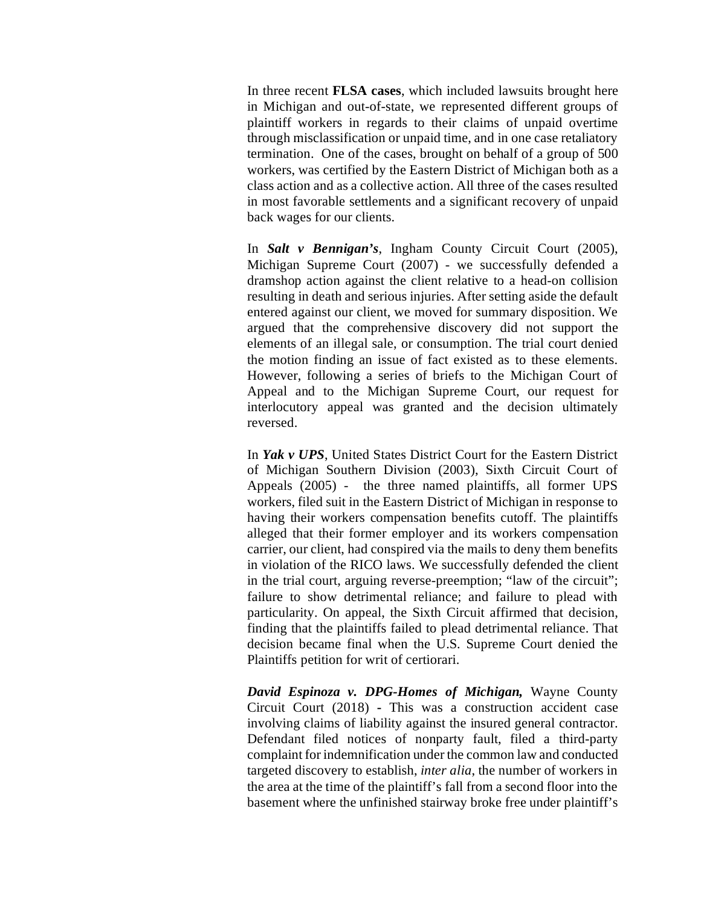In three recent **FLSA cases**, which included lawsuits brought here in Michigan and out-of-state, we represented different groups of plaintiff workers in regards to their claims of unpaid overtime through misclassification or unpaid time, and in one case retaliatory termination. One of the cases, brought on behalf of a group of 500 workers, was certified by the Eastern District of Michigan both as a class action and as a collective action. All three of the cases resulted in most favorable settlements and a significant recovery of unpaid back wages for our clients.

In *Salt v Bennigan's*, Ingham County Circuit Court (2005), Michigan Supreme Court (2007) - we successfully defended a dramshop action against the client relative to a head-on collision resulting in death and serious injuries. After setting aside the default entered against our client, we moved for summary disposition. We argued that the comprehensive discovery did not support the elements of an illegal sale, or consumption. The trial court denied the motion finding an issue of fact existed as to these elements. However, following a series of briefs to the Michigan Court of Appeal and to the Michigan Supreme Court, our request for interlocutory appeal was granted and the decision ultimately reversed.

In *Yak v UPS*, United States District Court for the Eastern District of Michigan Southern Division (2003), Sixth Circuit Court of Appeals (2005) - the three named plaintiffs, all former UPS workers, filed suit in the Eastern District of Michigan in response to having their workers compensation benefits cutoff. The plaintiffs alleged that their former employer and its workers compensation carrier, our client, had conspired via the mails to deny them benefits in violation of the RICO laws. We successfully defended the client in the trial court, arguing reverse-preemption; "law of the circuit"; failure to show detrimental reliance; and failure to plead with particularity. On appeal, the Sixth Circuit affirmed that decision, finding that the plaintiffs failed to plead detrimental reliance. That decision became final when the U.S. Supreme Court denied the Plaintiffs petition for writ of certiorari.

*David Espinoza v. DPG-Homes of Michigan,* Wayne County Circuit Court (2018) **-** This was a construction accident case involving claims of liability against the insured general contractor. Defendant filed notices of nonparty fault, filed a third-party complaint for indemnification under the common law and conducted targeted discovery to establish, *inter alia*, the number of workers in the area at the time of the plaintiff's fall from a second floor into the basement where the unfinished stairway broke free under plaintiff's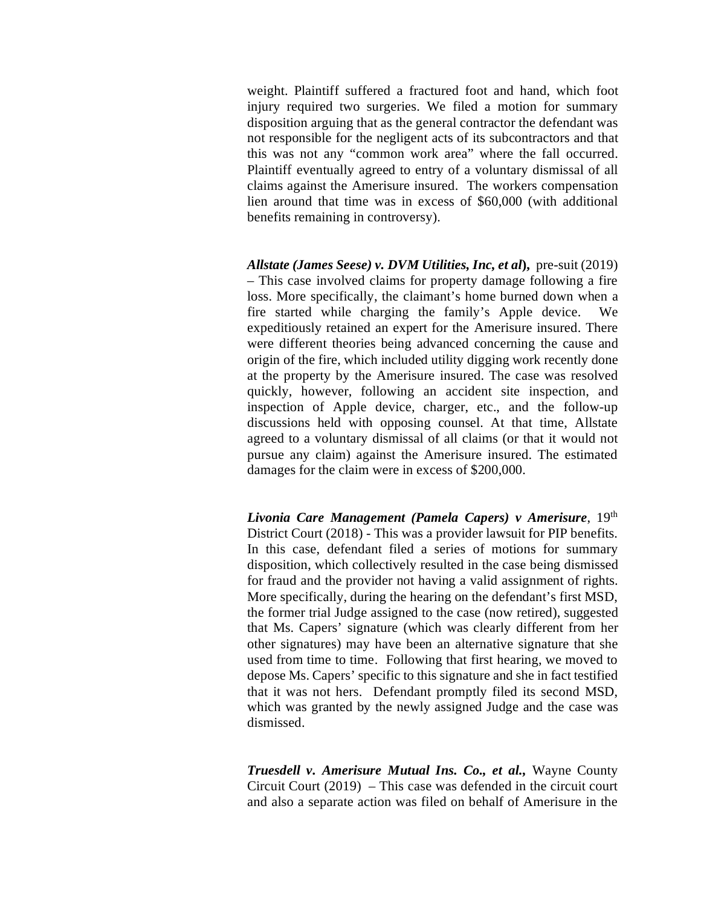weight. Plaintiff suffered a fractured foot and hand, which foot injury required two surgeries. We filed a motion for summary disposition arguing that as the general contractor the defendant was not responsible for the negligent acts of its subcontractors and that this was not any "common work area" where the fall occurred. Plaintiff eventually agreed to entry of a voluntary dismissal of all claims against the Amerisure insured. The workers compensation lien around that time was in excess of \$60,000 (with additional benefits remaining in controversy).

*Allstate (James Seese) v. DVM Utilities, Inc, et al***),** pre-suit (2019) – This case involved claims for property damage following a fire loss. More specifically, the claimant's home burned down when a fire started while charging the family's Apple device. We expeditiously retained an expert for the Amerisure insured. There were different theories being advanced concerning the cause and origin of the fire, which included utility digging work recently done at the property by the Amerisure insured. The case was resolved quickly, however, following an accident site inspection, and inspection of Apple device, charger, etc., and the follow-up discussions held with opposing counsel. At that time, Allstate agreed to a voluntary dismissal of all claims (or that it would not pursue any claim) against the Amerisure insured. The estimated damages for the claim were in excess of \$200,000.

*Livonia Care Management (Pamela Capers) v Amerisure*, 19<sup>th</sup> District Court (2018) - This was a provider lawsuit for PIP benefits. In this case, defendant filed a series of motions for summary disposition, which collectively resulted in the case being dismissed for fraud and the provider not having a valid assignment of rights. More specifically, during the hearing on the defendant's first MSD, the former trial Judge assigned to the case (now retired), suggested that Ms. Capers' signature (which was clearly different from her other signatures) may have been an alternative signature that she used from time to time. Following that first hearing, we moved to depose Ms. Capers' specific to this signature and she in fact testified that it was not hers. Defendant promptly filed its second MSD, which was granted by the newly assigned Judge and the case was dismissed.

*Truesdell v. Amerisure Mutual Ins. Co., et al.,* Wayne County Circuit Court (2019) – This case was defended in the circuit court and also a separate action was filed on behalf of Amerisure in the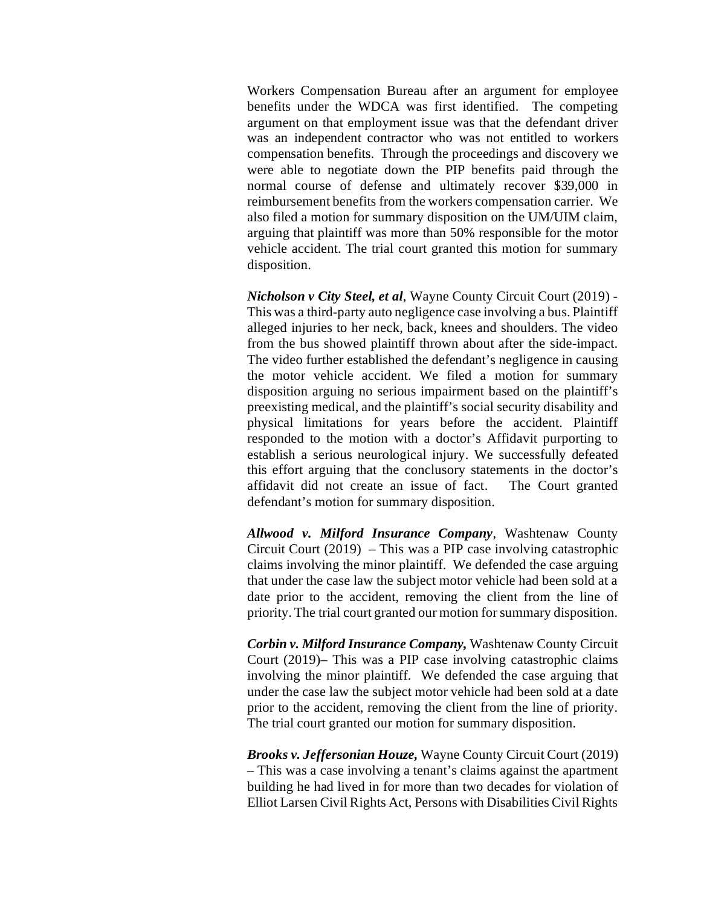Workers Compensation Bureau after an argument for employee benefits under the WDCA was first identified. The competing argument on that employment issue was that the defendant driver was an independent contractor who was not entitled to workers compensation benefits. Through the proceedings and discovery we were able to negotiate down the PIP benefits paid through the normal course of defense and ultimately recover \$39,000 in reimbursement benefits from the workers compensation carrier. We also filed a motion for summary disposition on the UM/UIM claim, arguing that plaintiff was more than 50% responsible for the motor vehicle accident. The trial court granted this motion for summary disposition.

*Nicholson v City Steel, et al*, Wayne County Circuit Court (2019) - This was a third-party auto negligence case involving a bus. Plaintiff alleged injuries to her neck, back, knees and shoulders. The video from the bus showed plaintiff thrown about after the side-impact. The video further established the defendant's negligence in causing the motor vehicle accident. We filed a motion for summary disposition arguing no serious impairment based on the plaintiff's preexisting medical, and the plaintiff's social security disability and physical limitations for years before the accident. Plaintiff responded to the motion with a doctor's Affidavit purporting to establish a serious neurological injury. We successfully defeated this effort arguing that the conclusory statements in the doctor's affidavit did not create an issue of fact. The Court granted defendant's motion for summary disposition.

*Allwood v. Milford Insurance Company*, Washtenaw County Circuit Court (2019) – This was a PIP case involving catastrophic claims involving the minor plaintiff. We defended the case arguing that under the case law the subject motor vehicle had been sold at a date prior to the accident, removing the client from the line of priority. The trial court granted our motion for summary disposition.

*Corbin v. Milford Insurance Company,* Washtenaw County Circuit Court (2019)– This was a PIP case involving catastrophic claims involving the minor plaintiff. We defended the case arguing that under the case law the subject motor vehicle had been sold at a date prior to the accident, removing the client from the line of priority. The trial court granted our motion for summary disposition.

*Brooks v. Jeffersonian Houze,* Wayne County Circuit Court (2019) – This was a case involving a tenant's claims against the apartment building he had lived in for more than two decades for violation of Elliot Larsen Civil Rights Act, Persons with Disabilities Civil Rights